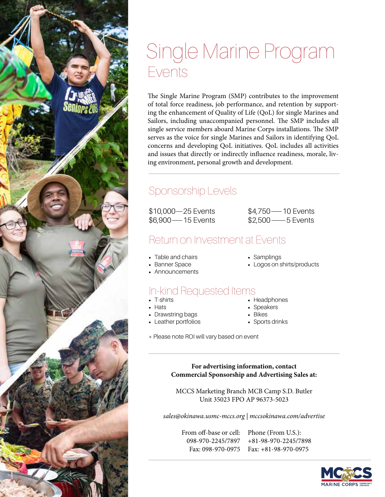#### Single Marine Program Events

The Single Marine Program (SMP) contributes to the improvement of total force readiness, job performance, and retention by supporting the enhancement of Quality of Life (QoL) for single Marines and Sailors, including unaccompanied personnel. The SMP includes all single service members aboard Marine Corps installations. The SMP serves as the voice for single Marines and Sailors in identifying QoL concerns and developing QoL initiatives. QoL includes all activities and issues that directly or indirectly influence readiness, morale, living environment, personal growth and development.

#### Sponsorship Levels

\$10,000—25 Events \$6,900—15 Events

\$4,750—10 Events \$2,500—5 Events

#### Return on Investment at Events

- Table and chairs
- Samplings
- Logos on shirts/products
- Banner Space • Announcements

#### In-kind Requested Items

- T-shirts
- Hats
- Drawstring bags • Leather portfolios
- 
- Headphones
- Speakers
- Bikes
- Sports drinks
- \* Please note ROI will vary based on event

**For advertising information, contact Commercial Sponsorship and Advertising Sales at:**

MCCS Marketing Branch MCB Camp S.D. Butler Unit 35023 FPO AP 96373-5023

*sales@okinawa.usmc-mccs.org | mccsokinawa.com/advertise*

From off-base or cell: Phone (From U.S.): 098-970-2245/7897 +81-98-970-2245/7898 Fax: 098-970-0975 Fax: +81-98-970-0975

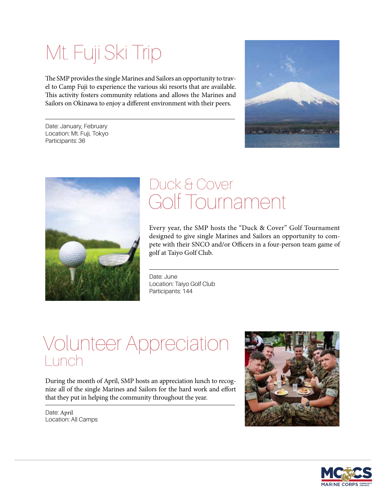# Mt. Fuji Ski Trip

The SMP provides the single Marines and Sailors an opportunity to travel to Camp Fuji to experience the various ski resorts that are available. This activity fosters community relations and allows the Marines and Sailors on Okinawa to enjoy a different environment with their peers.

Date: January, February Location: Mt. Fuji, Tokyo Participants: 36





#### Golf Tournament Duck & Cover

Every year, the SMP hosts the "Duck & Cover" Golf Tournament designed to give single Marines and Sailors an opportunity to compete with their SNCO and/or Officers in a four-person team game of golf at Taiyo Golf Club.

Date: June Location: Taiyo Golf Club Participants: 144

#### Volunteer Appreciation Lunch

During the month of April, SMP hosts an appreciation lunch to recognize all of the single Marines and Sailors for the hard work and effort that they put in helping the community throughout the year.

Date: April Location: All Camps



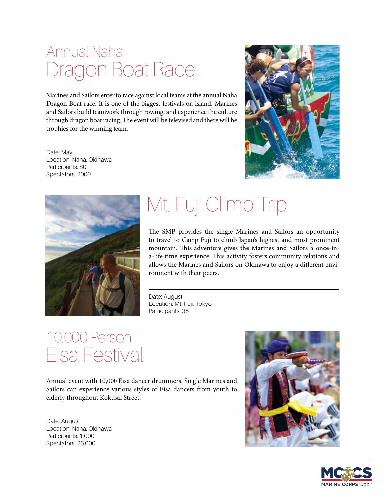#### Dragon Boat Race Annual Naha

Marines and Sailors enter to race against local teams at the annual Naha Dragon Boat race. It is one of the biggest festivals on island. Marines and Sailors build teamwork through rowing, and experience the culture through dragon boat racing. The event will be televised and there will be trophies for the winning team.

Date: May Location: Naha, Okinawa Participants: 80 Spectators: 2000





# Mt. Fuji Climb Trip

The SMP provides the single Marines and Sailors an opportunity to travel to Camp Fuji to climb Japan's highest and most prominent mountain. This adventure gives the Marines and Sailors a once-ina-life time experience. This activity fosters community relations and allows the Marines and Sailors on Okinawa to enjoy a different environment with their peers.

Date: August Location: Mt. Fuji, Tokyo Participants: 36

#### Eisa Festival 10,000 Person

Annual event with 10,000 Eisa dancer drummers. Single Marines and Sailors can experience various styles of Eisa dancers from youth to elderly throughout Kokusai Street.

Date: August Location: Naha, Okinawa Participants: 1,000 Spectators: 25,000



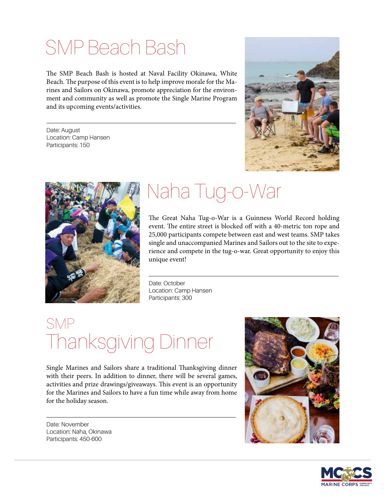## SMP Beach Bash

The SMP Beach Bash is hosted at Naval Facility Okinawa, White Beach. The purpose of this event is to help improve morale for the Marines and Sailors on Okinawa, promote appreciation for the environment and community as well as promote the Single Marine Program and its upcoming events/activities.

Date: August Location: Camp Hansen Participants: 150





## Naha Tug-o-War

The Great Naha Tug-o-War is a Guinness World Record holding event. The entire street is blocked off with a 40-metric ton rope and 25,000 participants compete between east and west teams. SMP takes single and unaccompanied Marines and Sailors out to the site to experience and compete in the tug-o-war. Great opportunity to enjoy this unique event!

Date: October Location: Camp Hansen Participants: 300

#### Thanksgiving Dinner SMP

Single Marines and Sailors share a traditional Thanksgiving dinner with their peers. In addition to dinner, there will be several games, activities and prize drawings/giveaways. This event is an opportunity for the Marines and Sailors to have a fun time while away from home for the holiday season.

Date: November Location: Naha, Okinawa Participants: 450-600



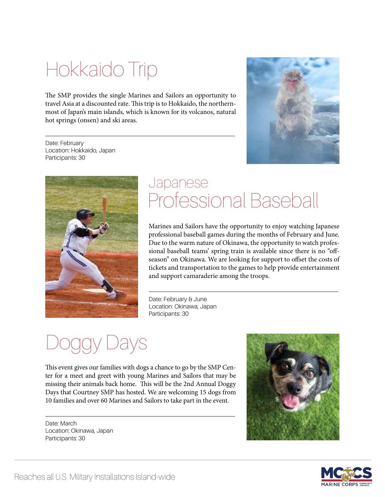## Hokkaido Trip

The SMP provides the single Marines and Sailors an opportunity to travel Asia at a discounted rate. This trip is to Hokkaido, the northernmost of Japan's main islands, which is known for its volcanos, natural hot springs (onsen) and ski areas.

Date: February Location: Hokkaido, Japan Participants: 30





#### Professional Baseball Japanese

Marines and Sailors have the opportunity to enjoy watching Japanese professional baseball games during the months of February and June. Due to the warm nature of Okinawa, the opportunity to watch professional baseball teams' spring train is available since there is no "offseason" on Okinawa. We are looking for support to offset the costs of tickets and transportation to the games to help provide entertainment and support camaraderie among the troops.

Date: February & June Location: Okinawa, Japan Participants: 30

# ays

This event gives our families with dogs a chance to go by the SMP Center for a meet and greet with young Marines and Sailors that may be missing their animals back home. This will be the 2nd Annual Doggy Days that Courtney SMP has hosted. We are welcoming 15 dogs from 10 families and over 60 Marines and Sailors to take part in the event.

Date: March Location: Okinawa, Japan Participants: 30



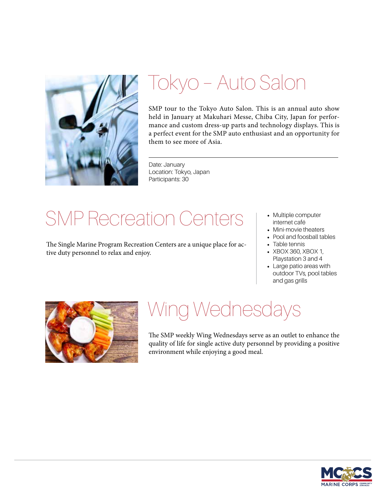

## Tokyo – Auto Salon

SMP tour to the Tokyo Auto Salon. This is an annual auto show held in January at Makuhari Messe, Chiba City, Japan for performance and custom dress-up parts and technology displays. This is a perfect event for the SMP auto enthusiast and an opportunity for them to see more of Asia.

Date: January Location: Tokyo, Japan Participants: 30

## SMP Recreation Centers

The Single Marine Program Recreation Centers are a unique place for active duty personnel to relax and enjoy.

- Multiple computer internet café
- Mini-movie theaters
- Pool and foosball tables
- Table tennis
- XBOX 360, XBOX 1, Playstation 3 and 4
- Large patio areas with outdoor TVs, pool tables and gas grills



### Wing Wednesdays

The SMP weekly Wing Wednesdays serve as an outlet to enhance the quality of life for single active duty personnel by providing a positive environment while enjoying a good meal.

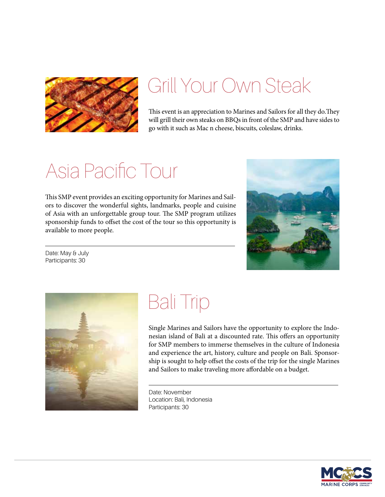

#### Grill Your Own Steak

This event is an appreciation to Marines and Sailors for all they do.They will grill their own steaks on BBQs in front of the SMP and have sides to go with it such as Mac n cheese, biscuits, coleslaw, drinks.

### Asia Pacific Tour

This SMP event provides an exciting opportunity for Marines and Sailors to discover the wonderful sights, landmarks, people and cuisine of Asia with an unforgettable group tour. The SMP program utilizes sponsorship funds to offset the cost of the tour so this opportunity is available to more people.



Date: May & July Participants: 30



### Bali Trip

Single Marines and Sailors have the opportunity to explore the Indonesian island of Bali at a discounted rate. This offers an opportunity for SMP members to immerse themselves in the culture of Indonesia and experience the art, history, culture and people on Bali. Sponsorship is sought to help offset the costs of the trip for the single Marines and Sailors to make traveling more affordable on a budget.

Date: November Location: Bali, Indonesia Participants: 30